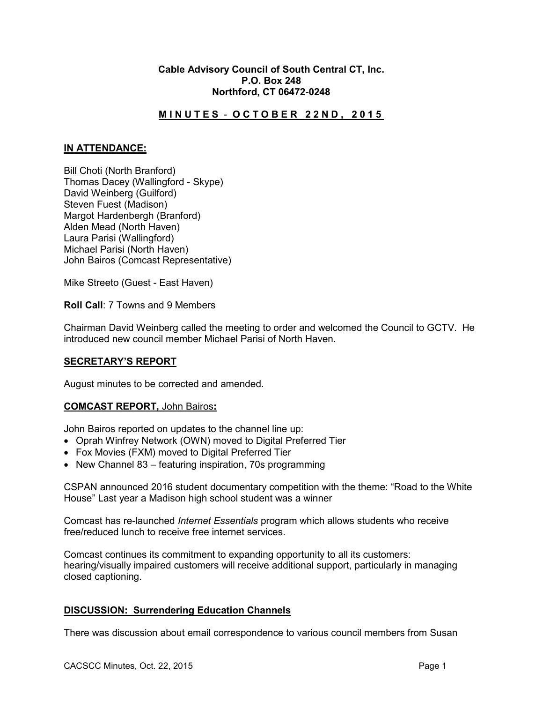## **Cable Advisory Council of South Central CT, Inc. P.O. Box 248 Northford, CT 06472-0248**

# **M I N U T E S** - **O C T O B E R 2 2 N D , 2 0 1 5**

## **IN ATTENDANCE:**

Bill Choti (North Branford) Thomas Dacey (Wallingford - Skype) David Weinberg (Guilford) Steven Fuest (Madison) Margot Hardenbergh (Branford) Alden Mead (North Haven) Laura Parisi (Wallingford) Michael Parisi (North Haven) John Bairos (Comcast Representative)

Mike Streeto (Guest - East Haven)

**Roll Call**: 7 Towns and 9 Members

Chairman David Weinberg called the meeting to order and welcomed the Council to GCTV. He introduced new council member Michael Parisi of North Haven.

# **SECRETARY'S REPORT**

August minutes to be corrected and amended.

#### **COMCAST REPORT,** John Bairos**:**

John Bairos reported on updates to the channel line up:

- Oprah Winfrey Network (OWN) moved to Digital Preferred Tier
- Fox Movies (FXM) moved to Digital Preferred Tier
- New Channel 83 featuring inspiration, 70s programming

CSPAN announced 2016 student documentary competition with the theme: "Road to the White House" Last year a Madison high school student was a winner

Comcast has re-launched *Internet Essentials* program which allows students who receive free/reduced lunch to receive free internet services.

Comcast continues its commitment to expanding opportunity to all its customers: hearing/visually impaired customers will receive additional support, particularly in managing closed captioning.

#### **DISCUSSION: Surrendering Education Channels**

There was discussion about email correspondence to various council members from Susan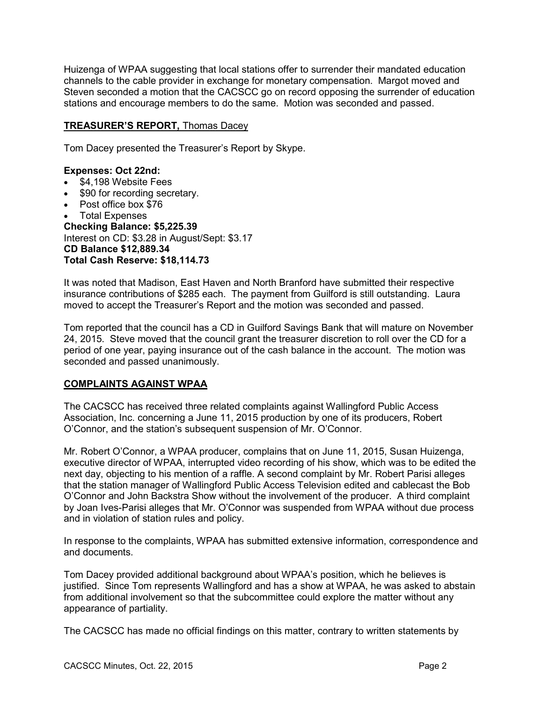Huizenga of WPAA suggesting that local stations offer to surrender their mandated education channels to the cable provider in exchange for monetary compensation. Margot moved and Steven seconded a motion that the CACSCC go on record opposing the surrender of education stations and encourage members to do the same. Motion was seconded and passed.

# **TREASURER'S REPORT,** Thomas Dacey

Tom Dacey presented the Treasurer's Report by Skype.

## **Expenses: Oct 22nd:**

- \$4,198 Website Fees
- \$90 for recording secretary.
- Post office box \$76
- Total Expenses

**Checking Balance: \$5,225.39** Interest on CD: \$3.28 in August/Sept: \$3.17 **CD Balance \$12,889.34 Total Cash Reserve: \$18,114.73**

It was noted that Madison, East Haven and North Branford have submitted their respective insurance contributions of \$285 each. The payment from Guilford is still outstanding. Laura moved to accept the Treasurer's Report and the motion was seconded and passed.

Tom reported that the council has a CD in Guilford Savings Bank that will mature on November 24, 2015. Steve moved that the council grant the treasurer discretion to roll over the CD for a period of one year, paying insurance out of the cash balance in the account. The motion was seconded and passed unanimously.

# **COMPLAINTS AGAINST WPAA**

The CACSCC has received three related complaints against Wallingford Public Access Association, Inc. concerning a June 11, 2015 production by one of its producers, Robert O'Connor, and the station's subsequent suspension of Mr. O'Connor.

Mr. Robert O'Connor, a WPAA producer, complains that on June 11, 2015, Susan Huizenga, executive director of WPAA, interrupted video recording of his show, which was to be edited the next day, objecting to his mention of a raffle. A second complaint by Mr. Robert Parisi alleges that the station manager of Wallingford Public Access Television edited and cablecast the Bob O'Connor and John Backstra Show without the involvement of the producer. A third complaint by Joan Ives-Parisi alleges that Mr. O'Connor was suspended from WPAA without due process and in violation of station rules and policy.

In response to the complaints, WPAA has submitted extensive information, correspondence and and documents.

Tom Dacey provided additional background about WPAA's position, which he believes is justified. Since Tom represents Wallingford and has a show at WPAA, he was asked to abstain from additional involvement so that the subcommittee could explore the matter without any appearance of partiality.

The CACSCC has made no official findings on this matter, contrary to written statements by